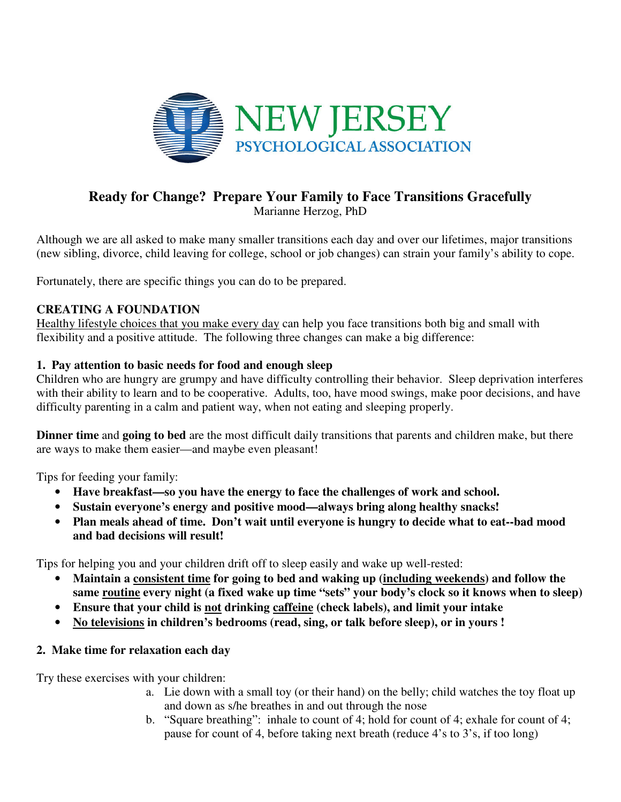

# **Ready for Change? Prepare Your Family to Face Transitions Gracefully**

Marianne Herzog, PhD

Although we are all asked to make many smaller transitions each day and over our lifetimes, major transitions (new sibling, divorce, child leaving for college, school or job changes) can strain your family's ability to cope.

Fortunately, there are specific things you can do to be prepared.

# **CREATING A FOUNDATION**

Healthy lifestyle choices that you make every day can help you face transitions both big and small with flexibility and a positive attitude. The following three changes can make a big difference:

## **1. Pay attention to basic needs for food and enough sleep**

Children who are hungry are grumpy and have difficulty controlling their behavior. Sleep deprivation interferes with their ability to learn and to be cooperative. Adults, too, have mood swings, make poor decisions, and have difficulty parenting in a calm and patient way, when not eating and sleeping properly.

**Dinner time** and **going to bed** are the most difficult daily transitions that parents and children make, but there are ways to make them easier—and maybe even pleasant!

Tips for feeding your family:

- **Have breakfast—so you have the energy to face the challenges of work and school.**
- **Sustain everyone's energy and positive mood—always bring along healthy snacks!**
- **Plan meals ahead of time. Don't wait until everyone is hungry to decide what to eat--bad mood and bad decisions will result!**

Tips for helping you and your children drift off to sleep easily and wake up well-rested:

- **Maintain a consistent time for going to bed and waking up (including weekends) and follow the same routine every night (a fixed wake up time "sets" your body's clock so it knows when to sleep)**
- **Ensure that your child is not drinking caffeine (check labels), and limit your intake**
- **No televisions in children's bedrooms (read, sing, or talk before sleep), or in yours !**

# **2. Make time for relaxation each day**

Try these exercises with your children:

- a. Lie down with a small toy (or their hand) on the belly; child watches the toy float up and down as s/he breathes in and out through the nose
- b. "Square breathing": inhale to count of 4; hold for count of 4; exhale for count of 4; pause for count of 4, before taking next breath (reduce 4's to 3's, if too long)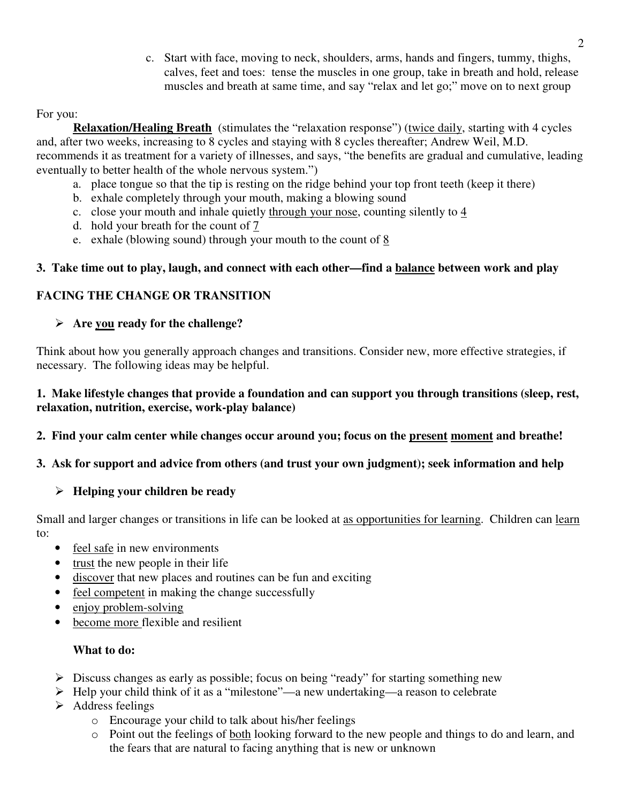c. Start with face, moving to neck, shoulders, arms, hands and fingers, tummy, thighs, calves, feet and toes: tense the muscles in one group, take in breath and hold, release muscles and breath at same time, and say "relax and let go;" move on to next group

#### For you:

**Relaxation/Healing Breath** (stimulates the "relaxation response") (twice daily, starting with 4 cycles and, after two weeks, increasing to 8 cycles and staying with 8 cycles thereafter; Andrew Weil, M.D. recommends it as treatment for a variety of illnesses, and says, "the benefits are gradual and cumulative, leading eventually to better health of the whole nervous system.")

- a. place tongue so that the tip is resting on the ridge behind your top front teeth (keep it there)
- b. exhale completely through your mouth, making a blowing sound
- c. close your mouth and inhale quietly through your nose, counting silently to  $\frac{4}{5}$
- d. hold your breath for the count of 7
- e. exhale (blowing sound) through your mouth to the count of  $8$

## **3. Take time out to play, laugh, and connect with each other—find a balance between work and play**

# **FACING THE CHANGE OR TRANSITION**

## **Are you ready for the challenge?**

Think about how you generally approach changes and transitions. Consider new, more effective strategies, if necessary. The following ideas may be helpful.

#### **1. Make lifestyle changes that provide a foundation and can support you through transitions (sleep, rest, relaxation, nutrition, exercise, work-play balance)**

# **2. Find your calm center while changes occur around you; focus on the present moment and breathe!**

# **3. Ask for support and advice from others (and trust your own judgment); seek information and help**

# **Helping your children be ready**

Small and larger changes or transitions in life can be looked at as opportunities for learning. Children can learn to:

- feel safe in new environments
- trust the new people in their life
- discover that new places and routines can be fun and exciting
- feel competent in making the change successfully
- enjoy problem-solving
- become more flexible and resilient

# **What to do:**

- $\triangleright$  Discuss changes as early as possible; focus on being "ready" for starting something new
- $\triangleright$  Help your child think of it as a "milestone"—a new undertaking—a reason to celebrate
- $\triangleright$  Address feelings
	- o Encourage your child to talk about his/her feelings
	- o Point out the feelings of both looking forward to the new people and things to do and learn, and the fears that are natural to facing anything that is new or unknown